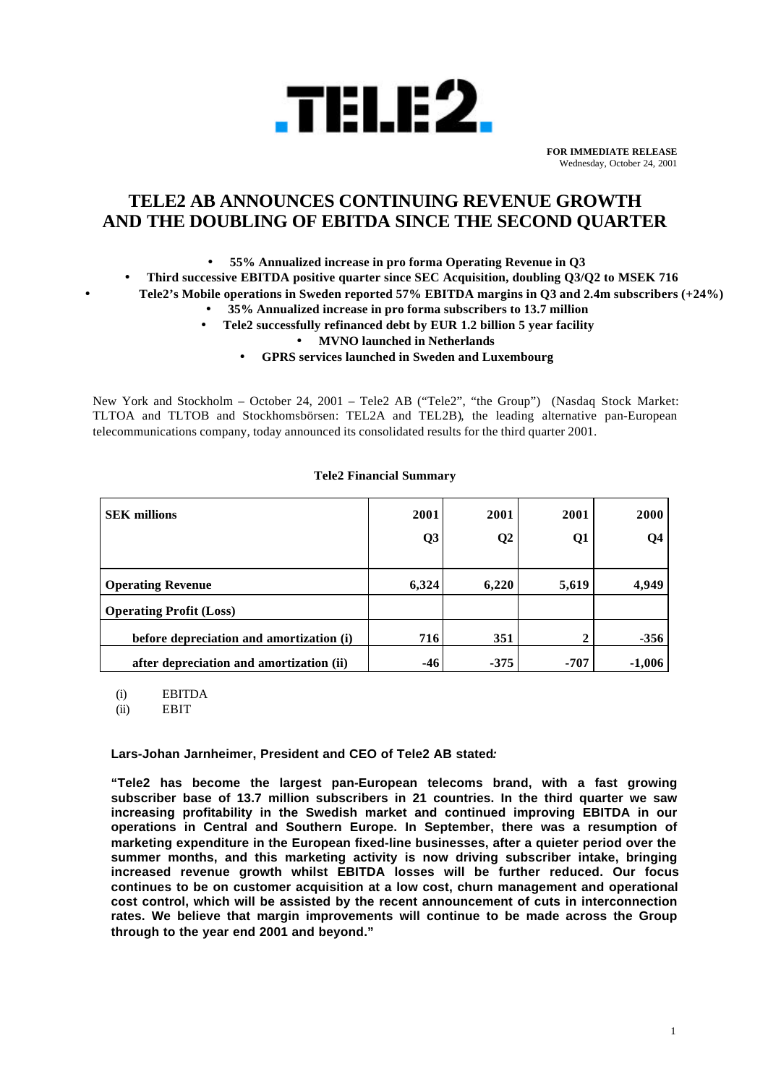

**FOR IMMEDIATE RELEASE** Wednesday, October 24, 2001

# **TELE2 AB ANNOUNCES CONTINUING REVENUE GROWTH AND THE DOUBLING OF EBITDA SINCE THE SECOND QUARTER**

• **55% Annualized increase in pro forma Operating Revenue in Q3**

• **Third successive EBITDA positive quarter since SEC Acquisition, doubling Q3/Q2 to MSEK 716** • **Tele2's Mobile operations in Sweden reported 57% EBITDA margins in Q3 and 2.4m subscribers (+24%)**

- **35% Annualized increase in pro forma subscribers to 13.7 million**
	- **Tele2 successfully refinanced debt by EUR 1.2 billion 5 year facility**

• **MVNO launched in Netherlands**

• **GPRS services launched in Sweden and Luxembourg**

New York and Stockholm – October 24, 2001 – Tele2 AB ("Tele2", "the Group") (Nasdaq Stock Market: TLTOA and TLTOB and Stockhomsbörsen: TEL2A and TEL2B), the leading alternative pan-European telecommunications company, today announced its consolidated results for the third quarter 2001.

| <b>SEK</b> millions                      | 2001           | 2001           | 2001   | <b>2000</b> |
|------------------------------------------|----------------|----------------|--------|-------------|
|                                          | Q <sub>3</sub> | Q <sub>2</sub> | Q1     | <b>O4</b>   |
|                                          |                |                |        |             |
| <b>Operating Revenue</b>                 | 6,324          | 6,220          | 5,619  | 4,949       |
| <b>Operating Profit (Loss)</b>           |                |                |        |             |
| before depreciation and amortization (i) | 716            | 351            |        | $-356$      |
| after depreciation and amortization (ii) | $-46$          | $-375$         | $-707$ | $-1,006$    |

## **Tele2 Financial Summary**

(i) EBITDA

(ii) EBIT

### **Lars-Johan Jarnheimer, President and CEO of Tele2 AB stated***:*

**"Tele2 has become the largest pan-European telecoms brand, with a fast growing subscriber base of 13.7 million subscribers in 21 countries. In the third quarter we saw increasing profitability in the Swedish market and continued improving EBITDA in our operations in Central and Southern Europe. In September, there was a resumption of marketing expenditure in the European fixed-line businesses, after a quieter period over the summer months, and this marketing activity is now driving subscriber intake, bringing increased revenue growth whilst EBITDA losses will be further reduced. Our focus continues to be on customer acquisition at a low cost, churn management and operational cost control, which will be assisted by the recent announcement of cuts in interconnection rates. We believe that margin improvements will continue to be made across the Group through to the year end 2001 and beyond."**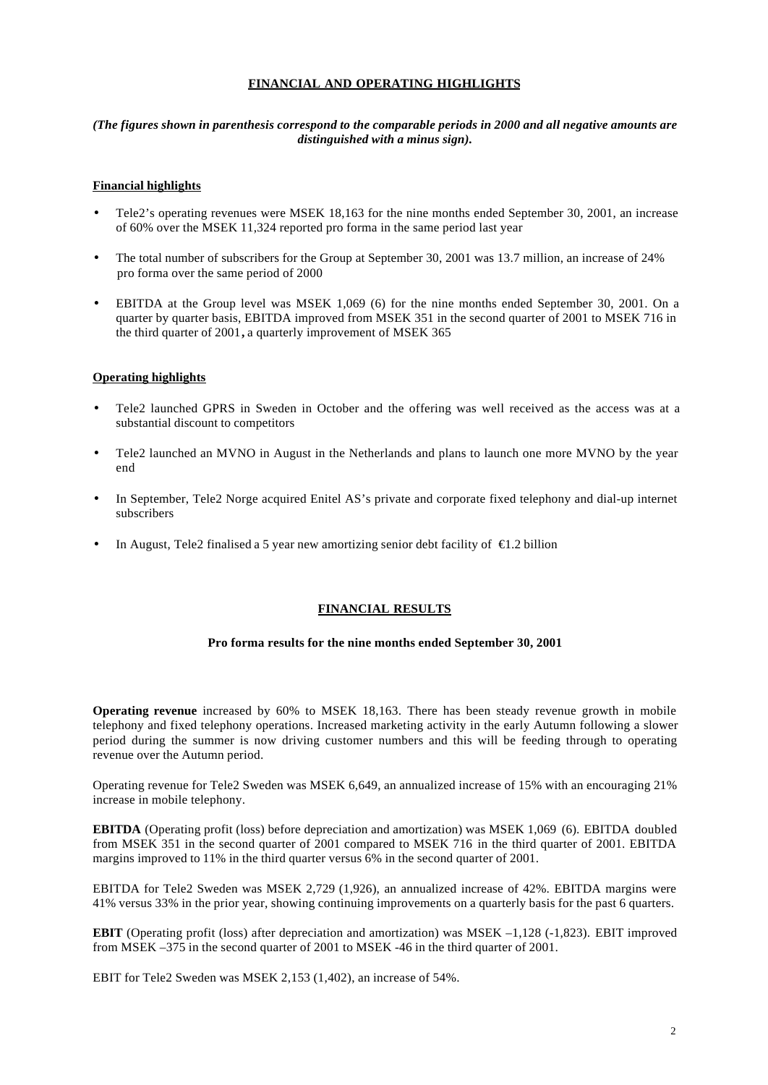### **FINANCIAL AND OPERATING HIGHLIGHTS**

### *(The figures shown in parenthesis correspond to the comparable periods in 2000 and all negative amounts are distinguished with a minus sign).*

### **Financial highlights**

- Tele2's operating revenues were MSEK 18,163 for the nine months ended September 30, 2001, an increase of 60% over the MSEK 11,324 reported pro forma in the same period last year
- The total number of subscribers for the Group at September 30, 2001 was 13.7 million, an increase of 24% pro forma over the same period of 2000
- EBITDA at the Group level was MSEK 1,069 (6) for the nine months ended September 30, 2001. On a quarter by quarter basis, EBITDA improved from MSEK 351 in the second quarter of 2001 to MSEK 716 in the third quarter of 2001**,** a quarterly improvement of MSEK 365

### **Operating highlights**

- Tele2 launched GPRS in Sweden in October and the offering was well received as the access was at a substantial discount to competitors
- Tele2 launched an MVNO in August in the Netherlands and plans to launch one more MVNO by the year end
- In September, Tele2 Norge acquired Enitel AS's private and corporate fixed telephony and dial-up internet subscribers
- In August, Tele2 finalised a 5 year new amortizing senior debt facility of  $\in$ 1.2 billion

#### **FINANCIAL RESULTS**

#### **Pro forma results for the nine months ended September 30, 2001**

**Operating revenue** increased by 60% to MSEK 18,163. There has been steady revenue growth in mobile telephony and fixed telephony operations. Increased marketing activity in the early Autumn following a slower period during the summer is now driving customer numbers and this will be feeding through to operating revenue over the Autumn period.

Operating revenue for Tele2 Sweden was MSEK 6,649, an annualized increase of 15% with an encouraging 21% increase in mobile telephony.

**EBITDA** (Operating profit (loss) before depreciation and amortization) was MSEK 1,069 (6). EBITDA doubled from MSEK 351 in the second quarter of 2001 compared to MSEK 716 in the third quarter of 2001. EBITDA margins improved to 11% in the third quarter versus 6% in the second quarter of 2001.

EBITDA for Tele2 Sweden was MSEK 2,729 (1,926), an annualized increase of 42%. EBITDA margins were 41% versus 33% in the prior year, showing continuing improvements on a quarterly basis for the past 6 quarters.

**EBIT** (Operating profit (loss) after depreciation and amortization) was MSEK –1,128 (-1,823). EBIT improved from MSEK –375 in the second quarter of 2001 to MSEK -46 in the third quarter of 2001.

EBIT for Tele2 Sweden was MSEK 2,153 (1,402), an increase of 54%.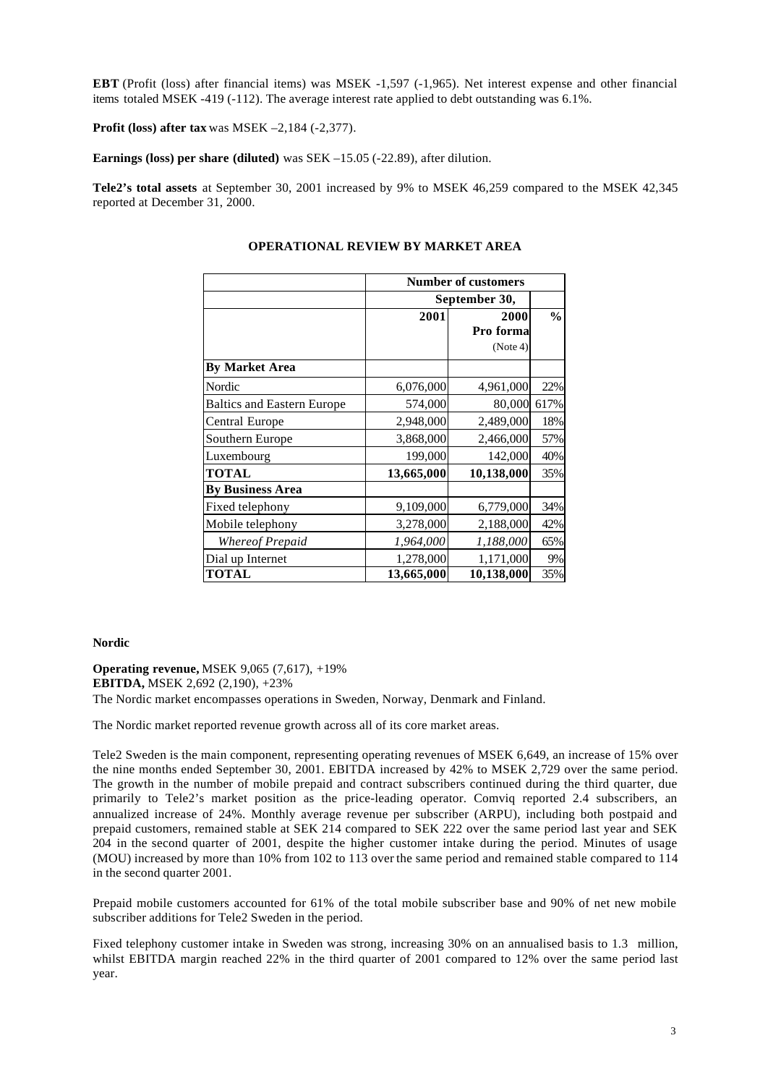**EBT** (Profit (loss) after financial items) was MSEK -1,597 (-1,965). Net interest expense and other financial items totaled MSEK -419 (-112). The average interest rate applied to debt outstanding was 6.1%.

**Profit (loss) after tax** was MSEK –2,184 (-2,377).

**Earnings (loss) per share (diluted)** was SEK –15.05 (-22.89), after dilution.

**Tele2's total assets** at September 30, 2001 increased by 9% to MSEK 46,259 compared to the MSEK 42,345 reported at December 31, 2000.

|                                   | <b>Number of customers</b> |            |               |  |  |  |
|-----------------------------------|----------------------------|------------|---------------|--|--|--|
|                                   | September 30,              |            |               |  |  |  |
|                                   | 2001                       | 2000       | $\frac{0}{0}$ |  |  |  |
|                                   |                            | Pro forma  |               |  |  |  |
|                                   |                            | (Note 4)   |               |  |  |  |
| <b>By Market Area</b>             |                            |            |               |  |  |  |
| Nordic                            | 6,076,000                  | 4,961,000  | 22%           |  |  |  |
| <b>Baltics and Eastern Europe</b> | 574,000                    | 80,000     | 617%          |  |  |  |
| Central Europe                    | 2,948,000                  | 2,489,000  | 18%           |  |  |  |
| Southern Europe                   | 3,868,000                  | 2,466,000  | 57%           |  |  |  |
| Luxembourg                        | 199,000                    | 142,000    | 40%           |  |  |  |
| <b>TOTAL</b>                      | 13,665,000                 | 10,138,000 | 35%           |  |  |  |
| <b>By Business Area</b>           |                            |            |               |  |  |  |
| Fixed telephony                   | 9,109,000                  | 6,779,000  | 34%           |  |  |  |
| Mobile telephony                  | 3,278,000                  | 2,188,000  | 42%           |  |  |  |
| Whereof Prepaid                   | 1,964,000                  | 1,188,000  | 65%           |  |  |  |
| Dial up Internet                  | 1,278,000                  | 1,171,000  | 9%            |  |  |  |
| <b>TOTAL</b>                      | 13,665,000                 | 10,138,000 | 35%           |  |  |  |

## **OPERATIONAL REVIEW BY MARKET AREA**

#### **Nordic**

**Operating revenue,** MSEK 9,065 (7,617), +19% **EBITDA,** MSEK 2,692 (2,190), +23% The Nordic market encompasses operations in Sweden, Norway, Denmark and Finland.

The Nordic market reported revenue growth across all of its core market areas.

Tele2 Sweden is the main component, representing operating revenues of MSEK 6,649, an increase of 15% over the nine months ended September 30, 2001. EBITDA increased by 42% to MSEK 2,729 over the same period. The growth in the number of mobile prepaid and contract subscribers continued during the third quarter, due primarily to Tele2's market position as the price-leading operator. Comviq reported 2.4 subscribers, an annualized increase of 24%. Monthly average revenue per subscriber (ARPU), including both postpaid and prepaid customers, remained stable at SEK 214 compared to SEK 222 over the same period last year and SEK 204 in the second quarter of 2001, despite the higher customer intake during the period. Minutes of usage (MOU) increased by more than 10% from 102 to 113 over the same period and remained stable compared to 114 in the second quarter 2001.

Prepaid mobile customers accounted for 61% of the total mobile subscriber base and 90% of net new mobile subscriber additions for Tele2 Sweden in the period.

Fixed telephony customer intake in Sweden was strong, increasing 30% on an annualised basis to 1.3 million, whilst EBITDA margin reached 22% in the third quarter of 2001 compared to 12% over the same period last year.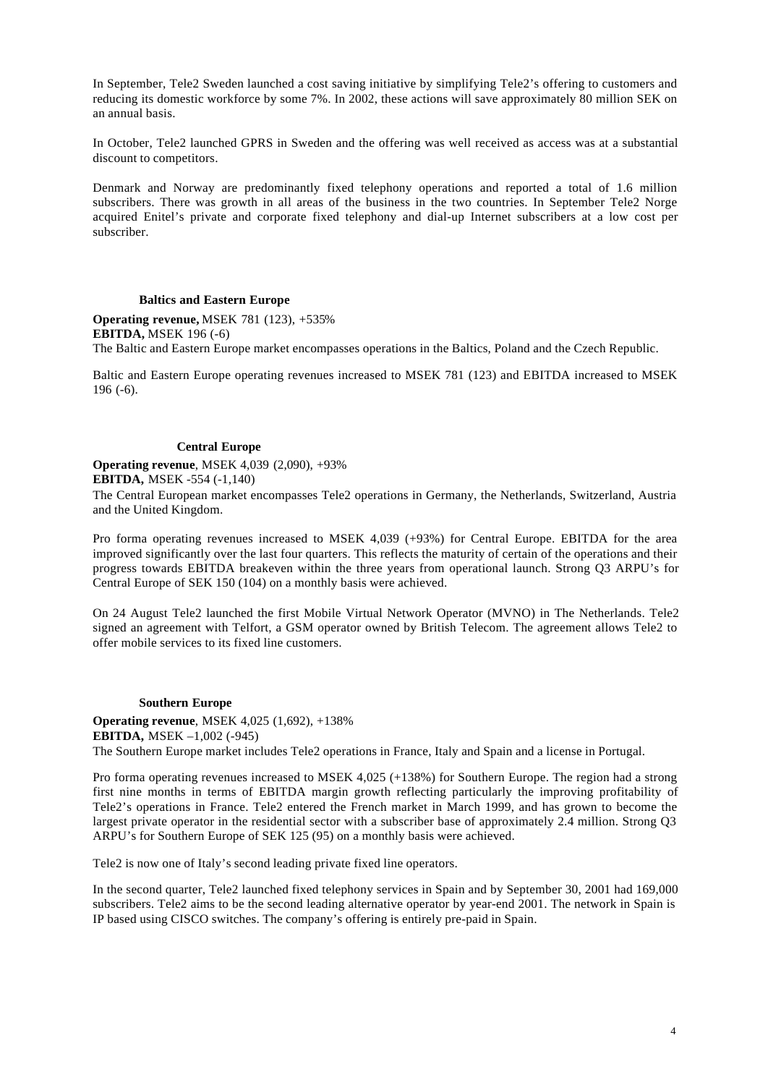In September, Tele2 Sweden launched a cost saving initiative by simplifying Tele2's offering to customers and reducing its domestic workforce by some 7%. In 2002, these actions will save approximately 80 million SEK on an annual basis.

In October, Tele2 launched GPRS in Sweden and the offering was well received as access was at a substantial discount to competitors.

Denmark and Norway are predominantly fixed telephony operations and reported a total of 1.6 million subscribers. There was growth in all areas of the business in the two countries. In September Tele2 Norge acquired Enitel's private and corporate fixed telephony and dial-up Internet subscribers at a low cost per subscriber.

#### **Baltics and Eastern Europe**

**Operating revenue,** MSEK 781 (123), +535% **EBITDA,** MSEK 196 (-6) The Baltic and Eastern Europe market encompasses operations in the Baltics, Poland and the Czech Republic.

Baltic and Eastern Europe operating revenues increased to MSEK 781 (123) and EBITDA increased to MSEK 196 (-6).

### **Central Europe**

**Operating revenue**, MSEK 4,039 (2,090), +93%

**EBITDA,** MSEK -554 (-1,140)

The Central European market encompasses Tele2 operations in Germany, the Netherlands, Switzerland, Austria and the United Kingdom.

Pro forma operating revenues increased to MSEK 4,039 (+93%) for Central Europe. EBITDA for the area improved significantly over the last four quarters. This reflects the maturity of certain of the operations and their progress towards EBITDA breakeven within the three years from operational launch. Strong Q3 ARPU's for Central Europe of SEK 150 (104) on a monthly basis were achieved.

On 24 August Tele2 launched the first Mobile Virtual Network Operator (MVNO) in The Netherlands. Tele2 signed an agreement with Telfort, a GSM operator owned by British Telecom. The agreement allows Tele2 to offer mobile services to its fixed line customers.

### **Southern Europe**

**Operating revenue**, MSEK 4,025 (1,692), +138% **EBITDA,** MSEK –1,002 (-945) The Southern Europe market includes Tele2 operations in France, Italy and Spain and a license in Portugal.

Pro forma operating revenues increased to MSEK 4,025 (+138%) for Southern Europe. The region had a strong first nine months in terms of EBITDA margin growth reflecting particularly the improving profitability of Tele2's operations in France. Tele2 entered the French market in March 1999, and has grown to become the largest private operator in the residential sector with a subscriber base of approximately 2.4 million. Strong Q3 ARPU's for Southern Europe of SEK 125 (95) on a monthly basis were achieved.

Tele2 is now one of Italy's second leading private fixed line operators.

In the second quarter, Tele2 launched fixed telephony services in Spain and by September 30, 2001 had 169,000 subscribers. Tele2 aims to be the second leading alternative operator by year-end 2001. The network in Spain is IP based using CISCO switches. The company's offering is entirely pre-paid in Spain.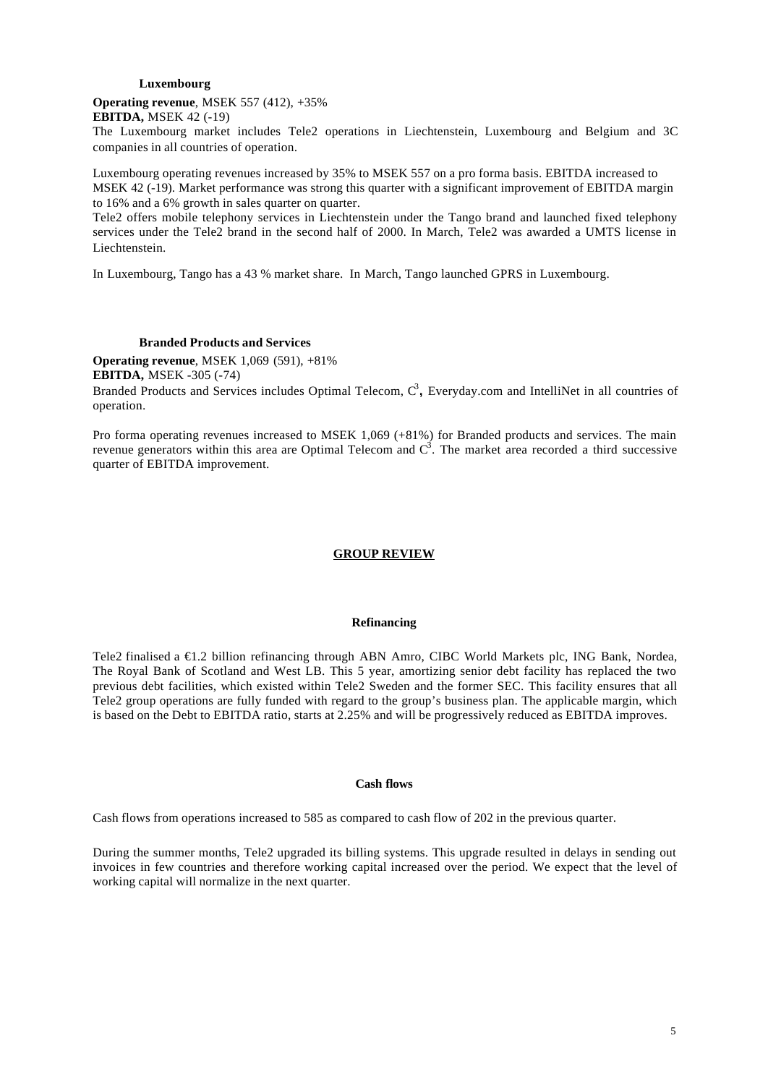#### **Luxembourg**

### **Operating revenue**, MSEK 557 (412), +35%

**EBITDA,** MSEK 42 (-19)

The Luxembourg market includes Tele2 operations in Liechtenstein, Luxembourg and Belgium and 3C companies in all countries of operation.

Luxembourg operating revenues increased by 35% to MSEK 557 on a pro forma basis. EBITDA increased to MSEK 42 (-19). Market performance was strong this quarter with a significant improvement of EBITDA margin to 16% and a 6% growth in sales quarter on quarter.

Tele2 offers mobile telephony services in Liechtenstein under the Tango brand and launched fixed telephony services under the Tele2 brand in the second half of 2000. In March, Tele2 was awarded a UMTS license in Liechtenstein.

In Luxembourg, Tango has a 43 % market share. In March, Tango launched GPRS in Luxembourg.

#### **Branded Products and Services**

**Operating revenue**, MSEK 1,069 (591), +81% **EBITDA,** MSEK -305 (-74)

Branded Products and Services includes Optimal Telecom, C<sup>3</sup>, Everyday.com and IntelliNet in all countries of operation.

Pro forma operating revenues increased to MSEK 1,069 (+81%) for Branded products and services. The main revenue generators within this area are Optimal Telecom and  $C^3$ . The market area recorded a third successive quarter of EBITDA improvement.

### **GROUP REVIEW**

#### **Refinancing**

Tele2 finalised a €1.2 billion refinancing through ABN Amro, CIBC World Markets plc, ING Bank, Nordea, The Royal Bank of Scotland and West LB. This 5 year, amortizing senior debt facility has replaced the two previous debt facilities, which existed within Tele2 Sweden and the former SEC. This facility ensures that all Tele2 group operations are fully funded with regard to the group's business plan. The applicable margin, which is based on the Debt to EBITDA ratio, starts at 2.25% and will be progressively reduced as EBITDA improves.

### **Cash flows**

Cash flows from operations increased to 585 as compared to cash flow of 202 in the previous quarter.

During the summer months, Tele2 upgraded its billing systems. This upgrade resulted in delays in sending out invoices in few countries and therefore working capital increased over the period. We expect that the level of working capital will normalize in the next quarter.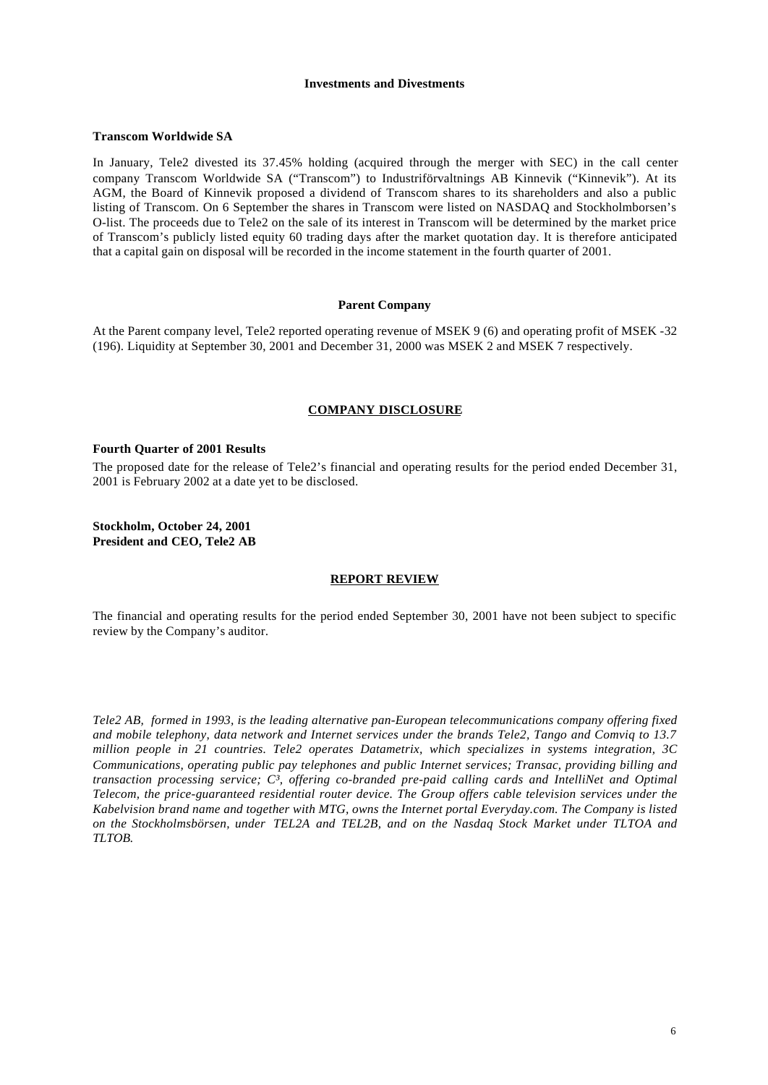#### **Investments and Divestments**

#### **Transcom Worldwide SA**

In January, Tele2 divested its 37.45% holding (acquired through the merger with SEC) in the call center company Transcom Worldwide SA ("Transcom") to Industriförvaltnings AB Kinnevik ("Kinnevik"). At its AGM, the Board of Kinnevik proposed a dividend of Transcom shares to its shareholders and also a public listing of Transcom. On 6 September the shares in Transcom were listed on NASDAQ and Stockholmborsen's O-list. The proceeds due to Tele2 on the sale of its interest in Transcom will be determined by the market price of Transcom's publicly listed equity 60 trading days after the market quotation day. It is therefore anticipated that a capital gain on disposal will be recorded in the income statement in the fourth quarter of 2001.

### **Parent Company**

At the Parent company level, Tele2 reported operating revenue of MSEK 9 (6) and operating profit of MSEK -32 (196). Liquidity at September 30, 2001 and December 31, 2000 was MSEK 2 and MSEK 7 respectively.

### **COMPANY DISCLOSURE**

### **Fourth Quarter of 2001 Results**

The proposed date for the release of Tele2's financial and operating results for the period ended December 31, 2001 is February 2002 at a date yet to be disclosed.

**Stockholm, October 24, 2001 President and CEO, Tele2 AB**

#### **REPORT REVIEW**

The financial and operating results for the period ended September 30, 2001 have not been subject to specific review by the Company's auditor.

*Tele2 AB, formed in 1993, is the leading alternative pan-European telecommunications company offering fixed and mobile telephony, data network and Internet services under the brands Tele2, Tango and Comviq to 13.7 million people in 21 countries. Tele2 operates Datametrix, which specializes in systems integration, 3C Communications, operating public pay telephones and public Internet services; Transac, providing billing and transaction processing service; C³, offering co-branded pre-paid calling cards and IntelliNet and Optimal Telecom, the price-guaranteed residential router device. The Group offers cable television services under the Kabelvision brand name and together with MTG, owns the Internet portal Everyday.com. The Company is listed on the Stockholmsbörsen, under TEL2A and TEL2B, and on the Nasdaq Stock Market under TLTOA and TLTOB.*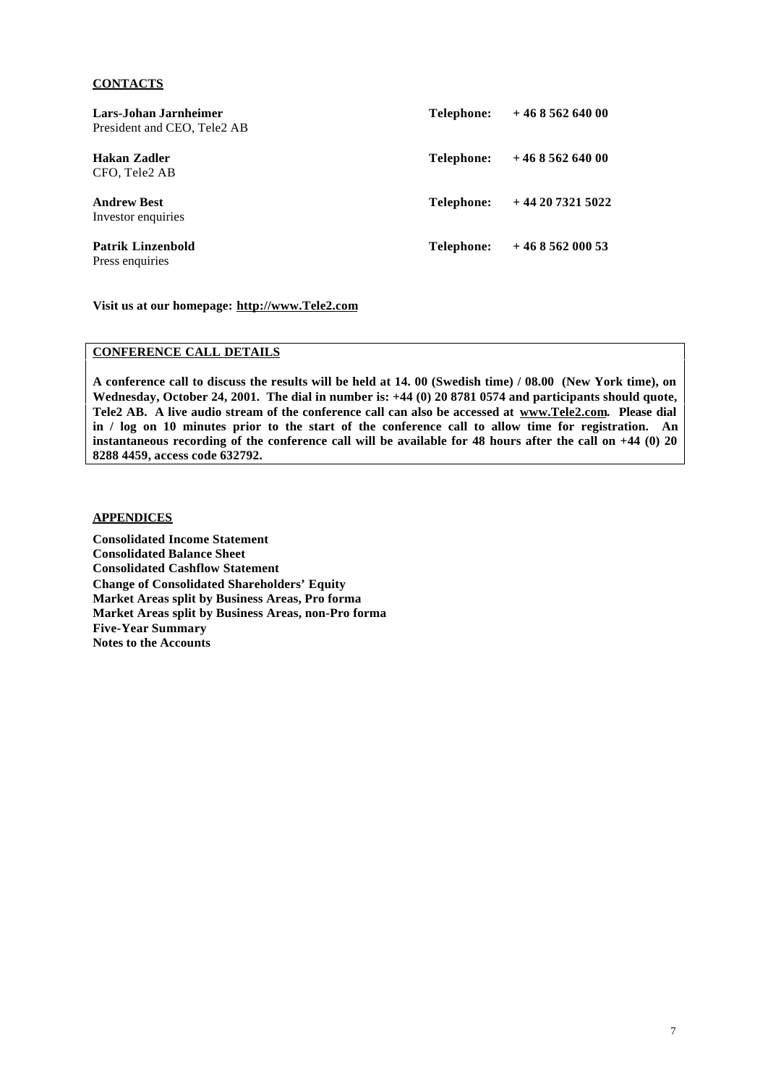### **CONTACTS**

| Lars-Johan Jarnheimer<br>President and CEO, Tele <sub>2</sub> AB | Telephone:        | $+46856264000$  |
|------------------------------------------------------------------|-------------------|-----------------|
| Hakan Zadler<br>CFO, Tele2 AB                                    | <b>Telephone:</b> | $+46856264000$  |
| <b>Andrew Best</b><br>Investor enquiries                         | Telephone:        | $+442073215022$ |
| Patrik Linzenbold<br>Press enquiries                             | Telephone:        | $+46856200053$  |

**Visit us at our homepage: http://www.Tele2.com**

## **CONFERENCE CALL DETAILS**

**A conference call to discuss the results will be held at 14. 00 (Swedish time) / 08.00 (New York time), on Wednesday, October 24, 2001. The dial in number is: +44 (0) 20 8781 0574 and participants should quote, Tele2 AB. A live audio stream of the conference call can also be accessed at www.Tele2.com. Please dial in / log on 10 minutes prior to the start of the conference call to allow time for registration. An instantaneous recording of the conference call will be available for 48 hours after the call on +44 (0) 20 8288 4459, access code 632792.**

## **APPENDICES**

**Consolidated Income Statement Consolidated Balance Sheet Consolidated Cashflow Statement Change of Consolidated Shareholders' Equity Market Areas split by Business Areas, Pro forma Market Areas split by Business Areas, non-Pro forma Five-Year Summary Notes to the Accounts**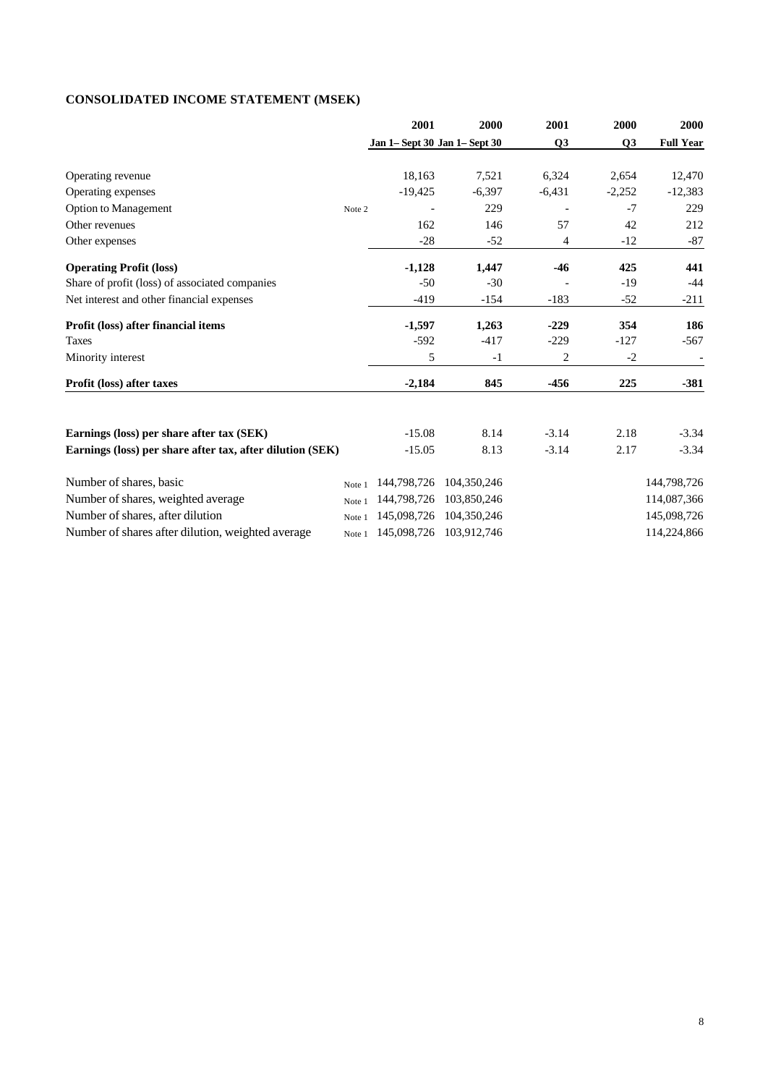# **CONSOLIDATED INCOME STATEMENT (MSEK)**

|                                                           |        | 2001                          | 2000                    | 2001     | 2000     | 2000                     |
|-----------------------------------------------------------|--------|-------------------------------|-------------------------|----------|----------|--------------------------|
|                                                           |        | Jan 1- Sept 30 Jan 1- Sept 30 |                         | Q3       | Q3       | <b>Full Year</b>         |
| Operating revenue                                         |        | 18.163                        | 7,521                   | 6,324    | 2,654    | 12,470                   |
| Operating expenses                                        |        | $-19,425$                     | $-6,397$                | $-6,431$ | $-2,252$ | $-12,383$                |
| <b>Option to Management</b>                               | Note 2 |                               | 229                     |          | $-7$     | 229                      |
| Other revenues                                            |        | 162                           | 146                     | 57       | 42       | 212                      |
| Other expenses                                            |        | $-28$                         | $-52$                   | 4        | $-12$    | $-87$                    |
| <b>Operating Profit (loss)</b>                            |        | $-1,128$                      | 1,447                   | $-46$    | 425      | 441                      |
| Share of profit (loss) of associated companies            |        | $-50$                         | $-30$                   |          | $-19$    | $-44$                    |
| Net interest and other financial expenses                 |        | $-419$                        | $-154$                  | $-183$   | $-52$    | $-211$                   |
| Profit (loss) after financial items                       |        | $-1,597$                      | 1,263                   | $-229$   | 354      | 186                      |
| <b>Taxes</b>                                              |        | $-592$                        | $-417$                  | $-229$   | $-127$   | $-567$                   |
| Minority interest                                         |        | 5                             | $-1$                    | 2        | $-2$     | $\overline{\phantom{a}}$ |
| Profit (loss) after taxes                                 |        | $-2,184$                      | 845                     | $-456$   | 225      | $-381$                   |
|                                                           |        |                               |                         |          |          |                          |
| Earnings (loss) per share after tax (SEK)                 |        | $-15.08$                      | 8.14                    | $-3.14$  | 2.18     | $-3.34$                  |
| Earnings (loss) per share after tax, after dilution (SEK) |        | $-15.05$                      | 8.13                    | $-3.14$  | 2.17     | $-3.34$                  |
| Number of shares, basic                                   | Note 1 | 144,798,726                   | 104,350,246             |          |          | 144,798,726              |
| Number of shares, weighted average                        | Note 1 | 144,798,726                   | 103,850,246             |          |          | 114,087,366              |
| Number of shares, after dilution                          | Note 1 | 145,098,726                   | 104,350,246             |          |          | 145,098,726              |
| Number of shares after dilution, weighted average         | Note 1 |                               | 145,098,726 103,912,746 |          |          | 114,224,866              |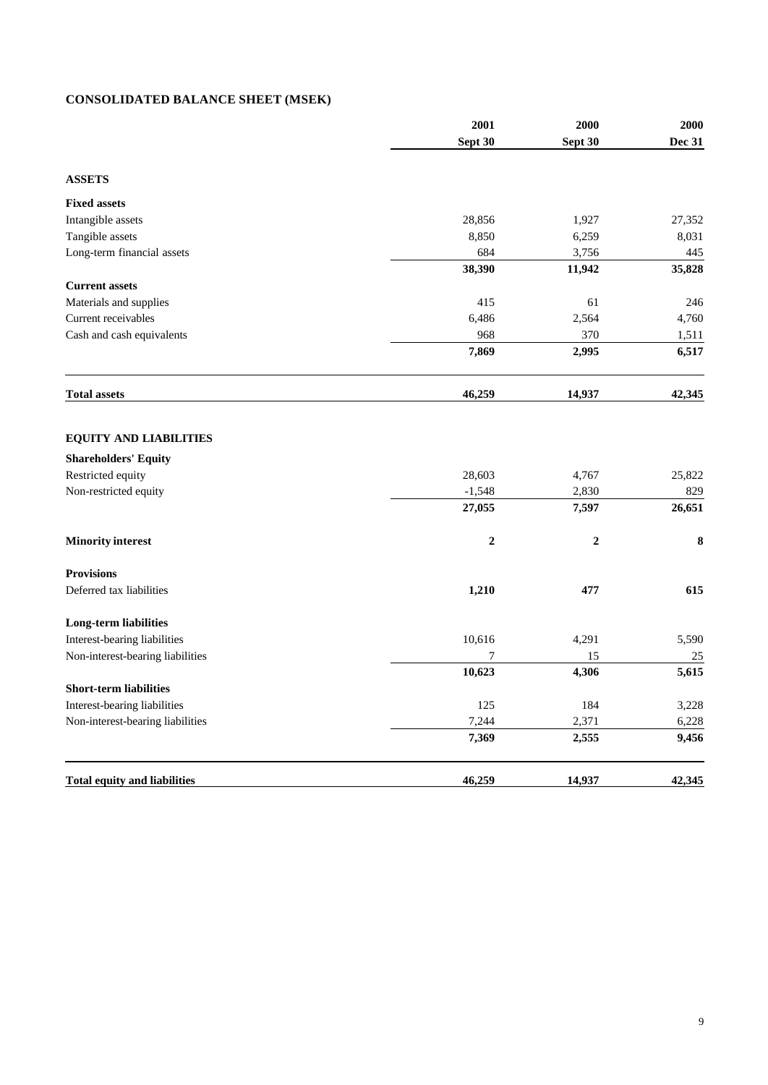# **CONSOLIDATED BALANCE SHEET (MSEK)**

|                                     | 2001             | 2000             | 2000          |
|-------------------------------------|------------------|------------------|---------------|
|                                     | Sept 30          | Sept 30          | <b>Dec 31</b> |
| <b>ASSETS</b>                       |                  |                  |               |
| <b>Fixed assets</b>                 |                  |                  |               |
| Intangible assets                   | 28,856           | 1,927            | 27,352        |
| Tangible assets                     | 8,850            | 6,259            | 8,031         |
| Long-term financial assets          | 684              | 3,756            | 445           |
|                                     | 38,390           | 11,942           | 35,828        |
| <b>Current assets</b>               |                  |                  |               |
| Materials and supplies              | 415              | 61               | 246           |
| Current receivables                 | 6,486            | 2,564            | 4,760         |
| Cash and cash equivalents           | 968              | 370              | 1,511         |
|                                     | 7,869            | 2,995            | 6,517         |
| <b>Total assets</b>                 | 46,259           | 14,937           | 42,345        |
| <b>EQUITY AND LIABILITIES</b>       |                  |                  |               |
| <b>Shareholders' Equity</b>         |                  |                  |               |
| Restricted equity                   | 28,603           | 4,767            | 25,822        |
| Non-restricted equity               | $-1,548$         | 2,830            | 829           |
|                                     | 27,055           | 7,597            | 26,651        |
| <b>Minority interest</b>            | $\boldsymbol{2}$ | $\boldsymbol{2}$ | 8             |
| <b>Provisions</b>                   |                  |                  |               |
| Deferred tax liabilities            | 1,210            | 477              | 615           |
| <b>Long-term liabilities</b>        |                  |                  |               |
| Interest-bearing liabilities        | 10,616           | 4,291            | 5,590         |
| Non-interest-bearing liabilities    | 7                | 15               | 25            |
|                                     | 10,623           | 4,306            | 5,615         |
| <b>Short-term liabilities</b>       |                  |                  |               |
| Interest-bearing liabilities        | 125              | 184              | 3,228         |
| Non-interest-bearing liabilities    | 7,244            | 2,371            | 6,228         |
|                                     | 7,369            | 2,555            | 9,456         |
| <b>Total equity and liabilities</b> | 46,259           | 14,937           | 42,345        |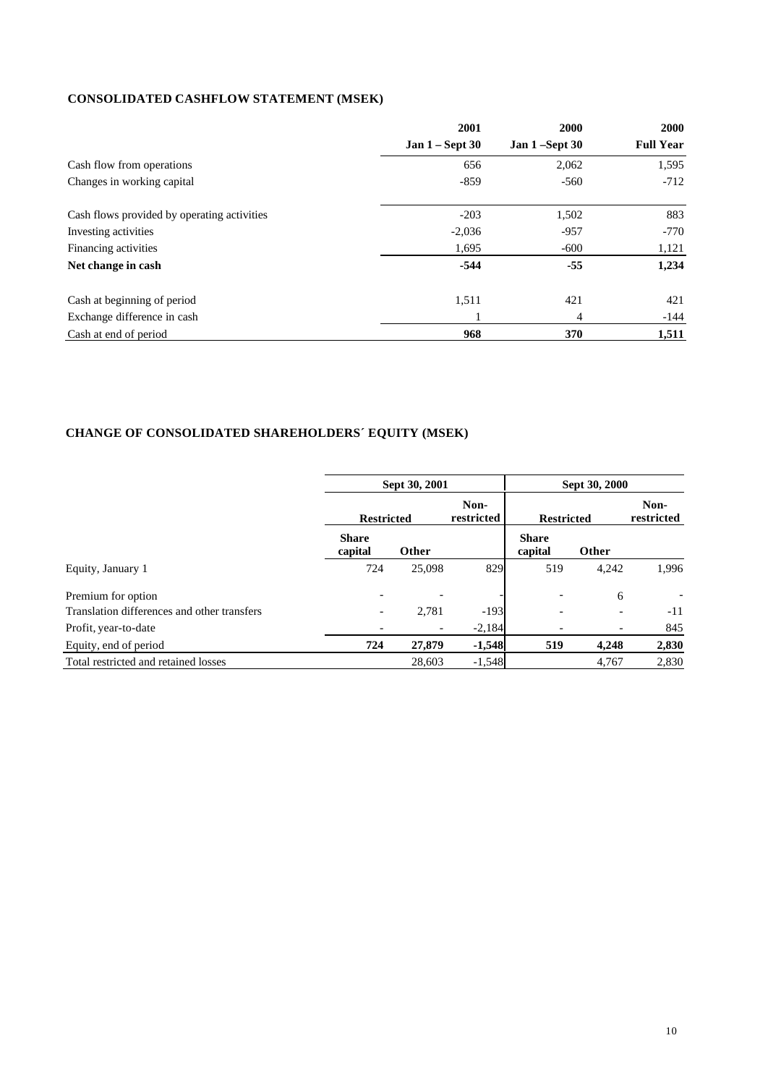# **CONSOLIDATED CASHFLOW STATEMENT (MSEK)**

|                                             | 2001                   | 2000             | <b>2000</b>      |
|---------------------------------------------|------------------------|------------------|------------------|
|                                             | <b>Jan 1 – Sept 30</b> | Jan $1$ –Sept 30 | <b>Full Year</b> |
| Cash flow from operations                   | 656                    | 2,062            | 1,595            |
| Changes in working capital                  | $-859$                 | $-560$           | $-712$           |
| Cash flows provided by operating activities | $-203$                 | 1,502            | 883              |
| Investing activities                        | $-2,036$               | $-957$           | $-770$           |
| Financing activities                        | 1,695                  | $-600$           | 1,121            |
| Net change in cash                          | $-544$                 | $-55$            | 1,234            |
| Cash at beginning of period                 | 1,511                  | 421              | 421              |
| Exchange difference in cash                 |                        | 4                | $-144$           |
| Cash at end of period                       | 968                    | 370              | 1,511            |

# **CHANGE OF CONSOLIDATED SHAREHOLDERS´ EQUITY (MSEK)**

|                                             | Sept 30, 2001            |                          | Sept 30, 2000      |                         |                    |       |
|---------------------------------------------|--------------------------|--------------------------|--------------------|-------------------------|--------------------|-------|
|                                             | <b>Restricted</b>        |                          | Non-<br>restricted | <b>Restricted</b>       | Non-<br>restricted |       |
|                                             | <b>Share</b><br>capital  | Other                    |                    | <b>Share</b><br>capital | Other              |       |
| Equity, January 1                           | 724                      | 25,098                   | 829                | 519                     | 4,242              | 1.996 |
| Premium for option                          |                          |                          |                    |                         | 6                  |       |
| Translation differences and other transfers | $\overline{\phantom{0}}$ | 2.781                    | $-193$             |                         |                    | $-11$ |
| Profit, year-to-date                        |                          | $\overline{\phantom{a}}$ | $-2,184$           |                         |                    | 845   |
| Equity, end of period                       | 724                      | 27,879                   | $-1,548$           | 519                     | 4,248              | 2,830 |
| Total restricted and retained losses        |                          | 28,603                   | $-1,548$           |                         | 4,767              | 2,830 |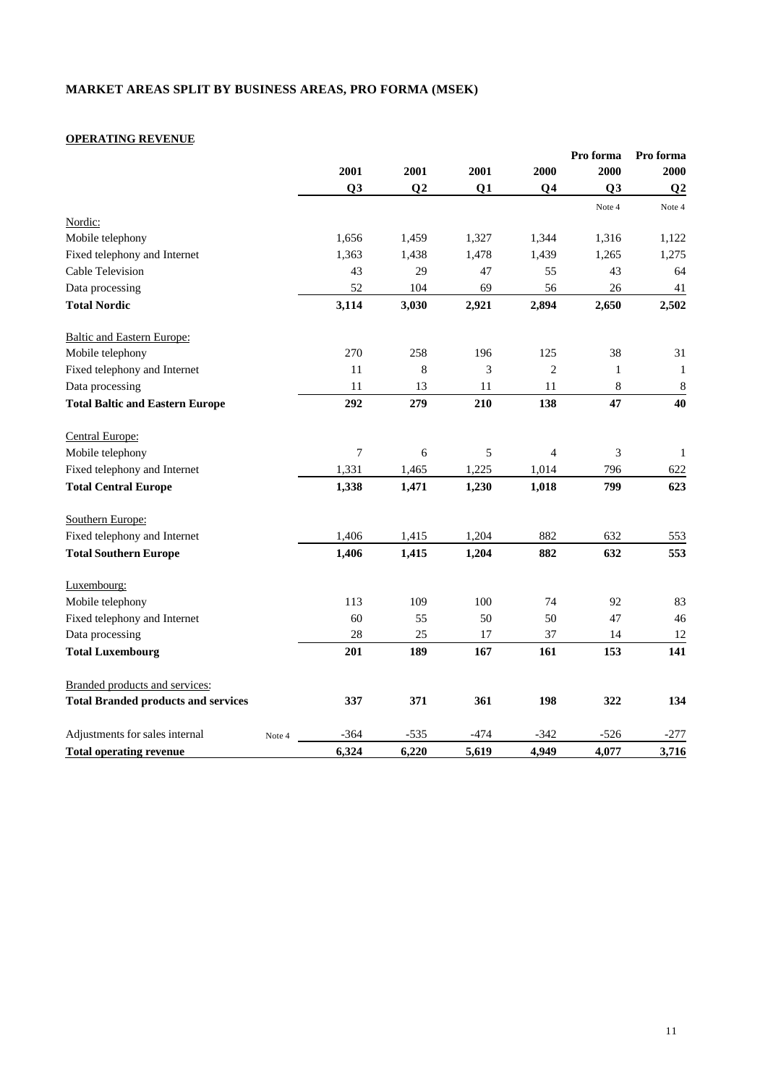# **MARKET AREAS SPLIT BY BUSINESS AREAS, PRO FORMA (MSEK)**

# **OPERATING REVENUE**

|                                            |                |                |        |                | Pro forma                   | Pro forma      |
|--------------------------------------------|----------------|----------------|--------|----------------|-----------------------------|----------------|
|                                            | 2001           | 2001           | 2001   | 2000           | 2000                        | 2000           |
|                                            | Q <sub>3</sub> | Q <sub>2</sub> | Q1     | Q <sub>4</sub> | Q <sub>3</sub>              | Q <sub>2</sub> |
|                                            |                |                |        |                | Note 4                      | Note 4         |
| Nordic:                                    |                |                |        |                |                             |                |
| Mobile telephony                           | 1,656          | 1,459          | 1,327  | 1,344          | 1,316                       | 1,122          |
| Fixed telephony and Internet               | 1,363          | 1,438          | 1,478  | 1,439          | 1,265                       | 1,275          |
| Cable Television                           | 43             | 29             | 47     | 55             | 43                          | 64             |
| Data processing                            | 52             | 104            | 69     | 56             | 26                          | 41             |
| <b>Total Nordic</b>                        | 3,114          | 3,030          | 2,921  | 2,894          | 2,650                       | 2,502          |
| <b>Baltic and Eastern Europe:</b>          |                |                |        |                |                             |                |
| Mobile telephony                           | 270            | 258            | 196    | 125            | 38                          | 31             |
| Fixed telephony and Internet               | 11             | 8              | 3      | $\mathfrak{2}$ | $\mathbf{1}$                | $\mathbf{1}$   |
| Data processing                            | 11             | 13             | 11     | 11             | $\,$ 8 $\,$                 | $\,8\,$        |
| <b>Total Baltic and Eastern Europe</b>     | 292            | 279            | 210    | 138            | 47                          | 40             |
| Central Europe:                            |                |                |        |                |                             |                |
| Mobile telephony                           | 7              | $\sqrt{6}$     | 5      | 4              | $\boldsymbol{\mathfrak{Z}}$ | $\mathbf{1}$   |
| Fixed telephony and Internet               | 1,331          | 1,465          | 1,225  | 1,014          | 796                         | 622            |
| <b>Total Central Europe</b>                | 1,338          | 1,471          | 1,230  | 1,018          | 799                         | 623            |
| Southern Europe:                           |                |                |        |                |                             |                |
| Fixed telephony and Internet               | 1,406          | 1,415          | 1,204  | 882            | 632                         | 553            |
| <b>Total Southern Europe</b>               | 1,406          | 1,415          | 1,204  | 882            | 632                         | 553            |
| Luxembourg:                                |                |                |        |                |                             |                |
| Mobile telephony                           | 113            | 109            | 100    | 74             | 92                          | 83             |
| Fixed telephony and Internet               | 60             | 55             | 50     | 50             | 47                          | $46\,$         |
| Data processing                            | 28             | 25             | 17     | 37             | 14                          | 12             |
| <b>Total Luxembourg</b>                    | 201            | 189            | 167    | 161            | 153                         | 141            |
| Branded products and services:             |                |                |        |                |                             |                |
| <b>Total Branded products and services</b> | 337            | 371            | 361    | 198            | 322                         | 134            |
| Adjustments for sales internal<br>Note 4   | $-364$         | $-535$         | $-474$ | $-342$         | $-526$                      | $-277$         |
| <b>Total operating revenue</b>             | 6,324          | 6,220          | 5,619  | 4,949          | 4,077                       | 3,716          |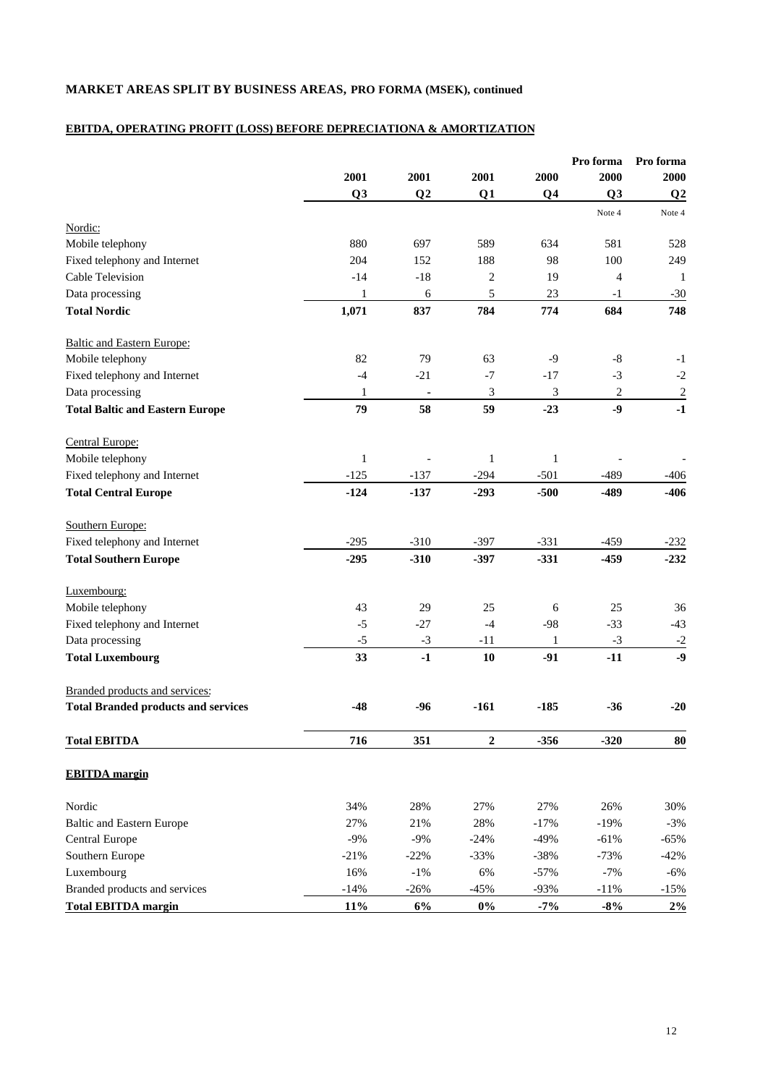# **MARKET AREAS SPLIT BY BUSINESS AREAS, PRO FORMA (MSEK), continued**

# **EBITDA, OPERATING PROFIT (LOSS) BEFORE DEPRECIATIONA & AMORTIZATION**

|                                            |                |                |                  |                | Pro forma<br>2000 | Pro forma<br>2000 |
|--------------------------------------------|----------------|----------------|------------------|----------------|-------------------|-------------------|
|                                            | 2001           | 2001           | 2001             | 2000           |                   |                   |
|                                            | Q <sub>3</sub> | Q <sub>2</sub> | Q1               | Q <sub>4</sub> | Q <sub>3</sub>    | Q <sub>2</sub>    |
| Nordic:                                    |                |                |                  |                | Note 4            | Note 4            |
| Mobile telephony                           | 880            | 697            | 589              | 634            | 581               | 528               |
| Fixed telephony and Internet               | 204            | 152            | 188              | 98             | 100               | 249               |
| Cable Television                           | $-14$          | $-18$          | $\sqrt{2}$       | 19             | $\overline{4}$    | 1                 |
| Data processing                            | 1              | 6              | 5                | 23             | $-1$              | $-30$             |
| <b>Total Nordic</b>                        | 1,071          | 837            | 784              | 774            | 684               | 748               |
| <b>Baltic and Eastern Europe:</b>          |                |                |                  |                |                   |                   |
| Mobile telephony                           | 82             | 79             | 63               | $-9$           | $\mbox{-}8$       | $-1$              |
| Fixed telephony and Internet               | $-4$           | $-21$          | $-7$             | $-17$          | $-3$              | $-2$              |
| Data processing                            | 1              | $\blacksquare$ | $\mathfrak{Z}$   | 3              | $\sqrt{2}$        | $\sqrt{2}$        |
| <b>Total Baltic and Eastern Europe</b>     | 79             | 58             | 59               | $-23$          | $-9$              | $-1$              |
| Central Europe:                            |                |                |                  |                |                   |                   |
| Mobile telephony                           | $\mathbf{1}$   |                | $\mathbf{1}$     | $\mathbf{1}$   |                   |                   |
| Fixed telephony and Internet               | $-125$         | $-137$         | $-294$           | $-501$         | $-489$            | -406              |
| <b>Total Central Europe</b>                | $-124$         | $-137$         | $-293$           | $-500$         | $-489$            | $-406$            |
| Southern Europe:                           |                |                |                  |                |                   |                   |
| Fixed telephony and Internet               | $-295$         | $-310$         | $-397$           | $-331$         | $-459$            | $-232$            |
| <b>Total Southern Europe</b>               | $-295$         | $-310$         | $-397$           | $-331$         | $-459$            | $-232$            |
| Luxembourg:                                |                |                |                  |                |                   |                   |
| Mobile telephony                           | 43             | 29             | 25               | 6              | 25                | 36                |
| Fixed telephony and Internet               | $-5$           | $-27$          | $-4$             | $-98$          | $-33$             | $-43$             |
| Data processing                            | $-5$           | $-3$           | $-11$            | 1              | $-3$              | $-2$              |
| <b>Total Luxembourg</b>                    | 33             | $-1$           | 10               | $-91$          | $-11$             | $-9$              |
| Branded products and services:             |                |                |                  |                |                   |                   |
| <b>Total Branded products and services</b> | $-48$          | -96            | $-161$           | $-185$         | $-36$             | $-20$             |
| <b>Total EBITDA</b>                        | 716            | 351            | $\boldsymbol{2}$ | $-356$         | $-320$            | 80                |
| <b>EBITDA</b> margin                       |                |                |                  |                |                   |                   |
| Nordic                                     | 34%            | 28%            | 27%              | 27%            | 26%               | 30%               |
| <b>Baltic and Eastern Europe</b>           | 27%            | 21%            | 28%              | $-17%$         | $-19%$            | $-3%$             |
| Central Europe                             | $-9%$          | $-9%$          | $-24%$           | $-49%$         | $-61%$            | $-65%$            |
| Southern Europe                            | $-21%$         | $-22%$         | $-33%$           | $-38%$         | $-73%$            | $-42%$            |
| Luxembourg                                 | 16%            | $-1\%$         | 6%               | $-57%$         | $-7%$             | $-6%$             |
| Branded products and services              | $-14%$         | $-26%$         | $-45%$           | $-93%$         | $-11%$            | $-15%$            |
| <b>Total EBITDA margin</b>                 | 11%            | 6%             | $0\%$            | $-7%$          | $-8%$             | 2%                |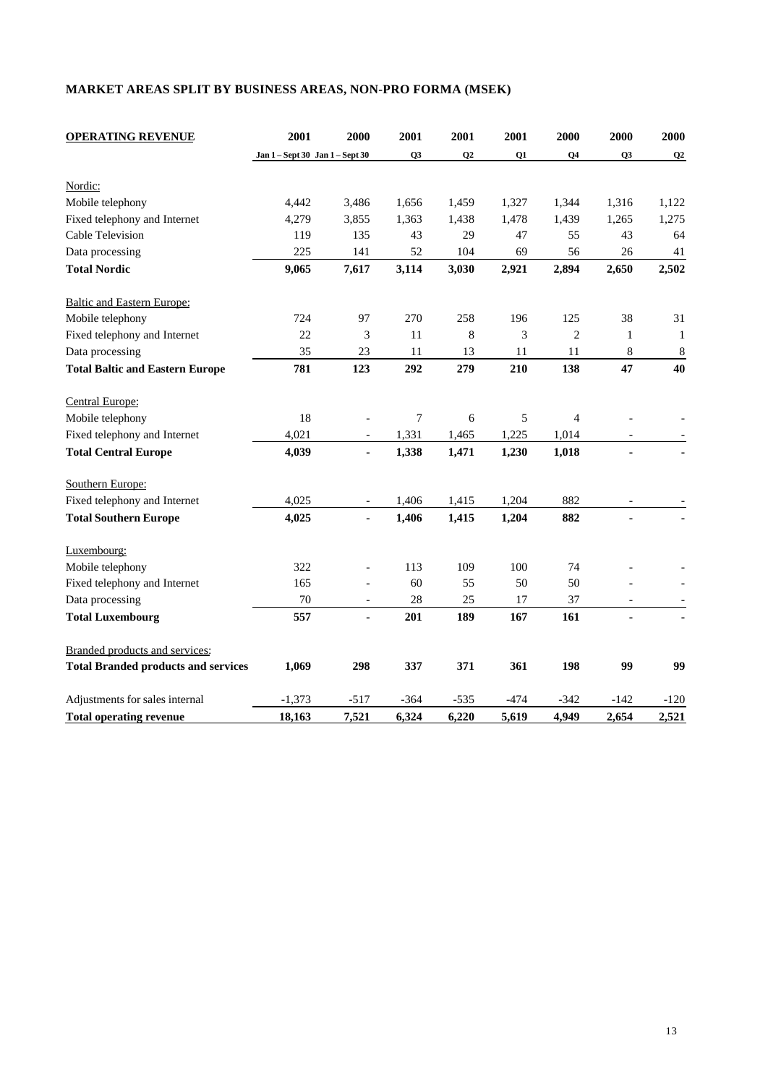# **MARKET AREAS SPLIT BY BUSINESS AREAS, NON-PRO FORMA (MSEK)**

| <b>OPERATING REVENUE</b>                   | 2001                            | 2000                     | 2001           | 2001   | 2001   | 2000           | 2000                     | 2000         |
|--------------------------------------------|---------------------------------|--------------------------|----------------|--------|--------|----------------|--------------------------|--------------|
|                                            | Jan 1 - Sept 30 Jan 1 - Sept 30 |                          | Q <sub>3</sub> | Q2     | Q1     | Q4             | Q <sub>3</sub>           | Q2           |
| Nordic:                                    |                                 |                          |                |        |        |                |                          |              |
| Mobile telephony                           | 4,442                           | 3,486                    | 1,656          | 1,459  | 1,327  | 1,344          | 1,316                    | 1,122        |
| Fixed telephony and Internet               | 4,279                           | 3,855                    | 1,363          | 1,438  | 1,478  | 1,439          | 1,265                    | 1,275        |
| <b>Cable Television</b>                    | 119                             | 135                      | 43             | 29     | 47     | 55             | 43                       | 64           |
| Data processing                            | 225                             | 141                      | 52             | 104    | 69     | 56             | 26                       | 41           |
| <b>Total Nordic</b>                        | 9,065                           | 7,617                    | 3,114          | 3,030  | 2,921  | 2,894          | 2,650                    | 2,502        |
| <b>Baltic and Eastern Europe:</b>          |                                 |                          |                |        |        |                |                          |              |
| Mobile telephony                           | 724                             | 97                       | 270            | 258    | 196    | 125            | 38                       | 31           |
| Fixed telephony and Internet               | 22                              | 3                        | 11             | 8      | 3      | $\mathbf{2}$   | $\mathbf{1}$             | $\mathbf{1}$ |
| Data processing                            | 35                              | 23                       | 11             | 13     | 11     | 11             | 8                        | $\,8\,$      |
| <b>Total Baltic and Eastern Europe</b>     | 781                             | 123                      | 292            | 279    | 210    | 138            | 47                       | 40           |
| Central Europe:                            |                                 |                          |                |        |        |                |                          |              |
| Mobile telephony                           | 18                              |                          | 7              | 6      | 5      | $\overline{4}$ |                          |              |
| Fixed telephony and Internet               | 4,021                           | $\overline{\phantom{a}}$ | 1,331          | 1,465  | 1,225  | 1,014          | $\overline{\phantom{a}}$ |              |
| <b>Total Central Europe</b>                | 4,039                           | $\blacksquare$           | 1,338          | 1,471  | 1,230  | 1,018          | $\blacksquare$           |              |
| Southern Europe:                           |                                 |                          |                |        |        |                |                          |              |
| Fixed telephony and Internet               | 4,025                           |                          | 1,406          | 1,415  | 1,204  | 882            |                          |              |
| <b>Total Southern Europe</b>               | 4,025                           | $\overline{\phantom{a}}$ | 1,406          | 1,415  | 1,204  | 882            |                          |              |
| Luxembourg:                                |                                 |                          |                |        |        |                |                          |              |
| Mobile telephony                           | 322                             | $\equiv$                 | 113            | 109    | 100    | 74             |                          |              |
| Fixed telephony and Internet               | 165                             |                          | 60             | 55     | 50     | 50             |                          |              |
| Data processing                            | 70                              |                          | 28             | 25     | 17     | 37             |                          |              |
| <b>Total Luxembourg</b>                    | 557                             | ä,                       | 201            | 189    | 167    | 161            |                          |              |
| Branded products and services:             |                                 |                          |                |        |        |                |                          |              |
| <b>Total Branded products and services</b> | 1,069                           | 298                      | 337            | 371    | 361    | 198            | 99                       | 99           |
| Adjustments for sales internal             | $-1,373$                        | $-517$                   | $-364$         | $-535$ | $-474$ | $-342$         | $-142$                   | $-120$       |
| <b>Total operating revenue</b>             | 18,163                          | 7,521                    | 6,324          | 6,220  | 5,619  | 4,949          | 2,654                    | 2,521        |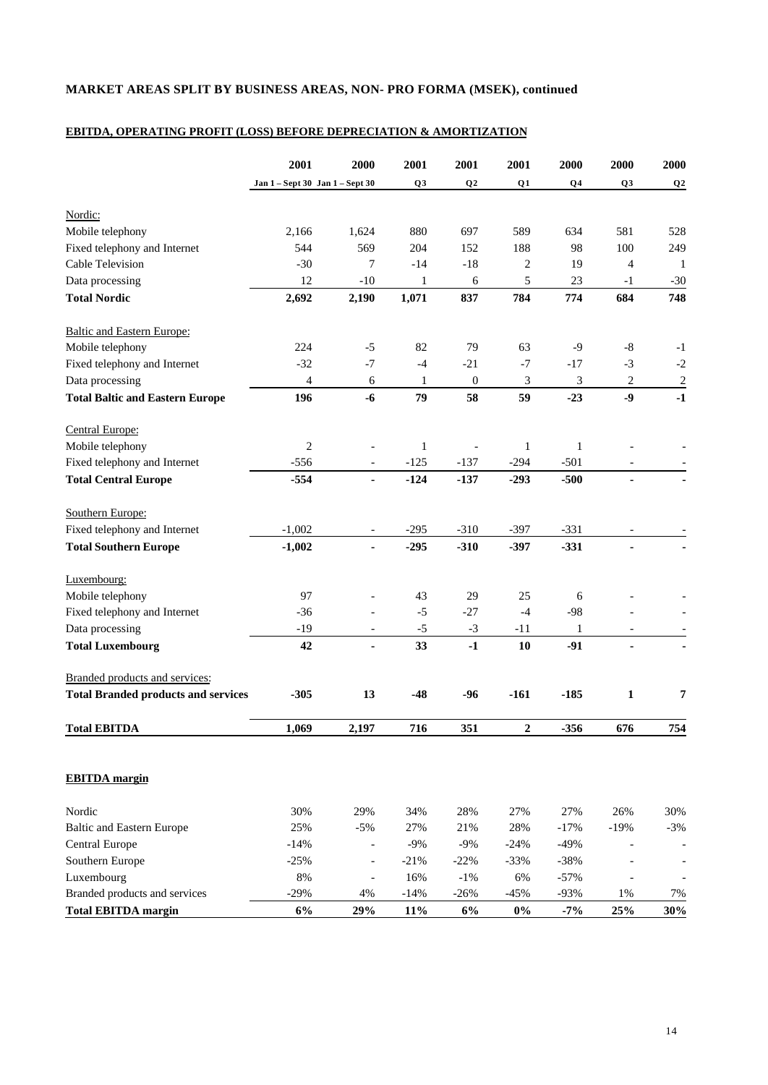# **MARKET AREAS SPLIT BY BUSINESS AREAS, NON- PRO FORMA (MSEK), continued**

# **EBITDA, OPERATING PROFIT (LOSS) BEFORE DEPRECIATION & AMORTIZATION**

|                                            | 2001                            | 2000                     | 2001           | 2001             | 2001             | 2000           | 2000                     | 2000           |
|--------------------------------------------|---------------------------------|--------------------------|----------------|------------------|------------------|----------------|--------------------------|----------------|
|                                            | Jan 1 - Sept 30 Jan 1 - Sept 30 |                          | Q <sub>3</sub> | Q2               | Q1               | Q <sub>4</sub> | Q <sub>3</sub>           | Q <sub>2</sub> |
|                                            |                                 |                          |                |                  |                  |                |                          |                |
| Nordic:                                    |                                 |                          |                |                  |                  |                |                          |                |
| Mobile telephony                           | 2,166                           | 1,624                    | 880            | 697              | 589              | 634            | 581                      | 528            |
| Fixed telephony and Internet               | 544                             | 569                      | 204            | 152              | 188              | 98             | 100                      | 249            |
| Cable Television                           | $-30$                           | 7                        | $-14$          | $-18$            | 2                | 19             | 4                        | -1             |
| Data processing                            | 12                              | $-10$                    | 1              | 6                | 5                | 23             | $-1$                     | $-30$          |
| <b>Total Nordic</b>                        | 2,692                           | 2,190                    | 1,071          | 837              | 784              | 774            | 684                      | 748            |
| <b>Baltic and Eastern Europe:</b>          |                                 |                          |                |                  |                  |                |                          |                |
| Mobile telephony                           | 224                             | $-5$                     | 82             | 79               | 63               | -9             | $-8$                     | $-1$           |
| Fixed telephony and Internet               | $-32$                           | $-7$                     | $-4$           | $-21$            | $-7$             | $-17$          | $-3$                     | $-2$           |
| Data processing                            | 4                               | 6                        | 1              | $\boldsymbol{0}$ | 3                | 3              | $\overline{c}$           | $\overline{2}$ |
| <b>Total Baltic and Eastern Europe</b>     | 196                             | $-6$                     | 79             | 58               | 59               | $-23$          | $-9$                     | $-1$           |
| Central Europe:                            |                                 |                          |                |                  |                  |                |                          |                |
| Mobile telephony                           | 2                               |                          | 1              |                  | $\mathbf{1}$     | 1              |                          |                |
| Fixed telephony and Internet               | $-556$                          | $\overline{\phantom{a}}$ | $-125$         | $-137$           | $-294$           | $-501$         | $\overline{\phantom{a}}$ |                |
| <b>Total Central Europe</b>                | $-554$                          | $\blacksquare$           | $-124$         | $-137$           | $-293$           | $-500$         | $\blacksquare$           |                |
| Southern Europe:                           |                                 |                          |                |                  |                  |                |                          |                |
| Fixed telephony and Internet               | $-1,002$                        |                          | $-295$         | $-310$           | $-397$           | $-331$         |                          |                |
| <b>Total Southern Europe</b>               | $-1,002$                        |                          | $-295$         | $-310$           | $-397$           | $-331$         |                          |                |
|                                            |                                 |                          |                |                  |                  |                |                          |                |
| Luxembourg:                                |                                 |                          |                |                  |                  |                |                          |                |
| Mobile telephony                           | 97                              |                          | 43             | 29               | 25               | 6              |                          |                |
| Fixed telephony and Internet               | $-36$                           | $\overline{\phantom{a}}$ | $-5$           | $-27$            | $-4$             | $-98$          |                          |                |
| Data processing                            | $-19$                           | $\overline{\phantom{a}}$ | $-5$           | $-3$             | $-11$            | 1              | $\overline{\phantom{a}}$ |                |
| <b>Total Luxembourg</b>                    | 42                              |                          | 33             | $-1$             | 10               | $-91$          |                          |                |
| Branded products and services:             |                                 |                          |                |                  |                  |                |                          |                |
| <b>Total Branded products and services</b> | $-305$                          | 13                       | $-48$          | $-96$            | $-161$           | $-185$         | 1                        | 7              |
| <b>Total EBITDA</b>                        | 1,069                           | 2,197                    | 716            | 351              | $\boldsymbol{2}$ | $-356$         | 676                      | 754            |
|                                            |                                 |                          |                |                  |                  |                |                          |                |
| <b>EBITDA</b> margin                       |                                 |                          |                |                  |                  |                |                          |                |
| Nordic                                     | 30%                             | 29%                      | 34%            | 28%              | 27%              | 27%            | 26%                      | 30%            |
| <b>Baltic and Eastern Europe</b>           | 25%                             | $-5%$                    | 27%            | 21%              | 28%              | $-17%$         | $-19%$                   | $-3%$          |
| Central Europe                             | $-14%$                          |                          | $-9%$          | $-9%$            | $-24%$           | $-49%$         |                          |                |
| Southern Europe                            | $-25%$                          |                          | $-21%$         | $-22%$           | $-33%$           | $-38%$         |                          |                |
| Luxembourg                                 | $8\%$                           |                          | 16%            | $-1\%$           | 6%               | $-57%$         |                          |                |
| Branded products and services              | $-29%$                          | $4\%$                    | $-14%$         | $-26%$           | $-45%$           | $-93%$         | $1\%$                    | 7%             |
| <b>Total EBITDA margin</b>                 | 6%                              | 29%                      | 11%            | 6%               | $0\%$            | $-7%$          | 25%                      | 30%            |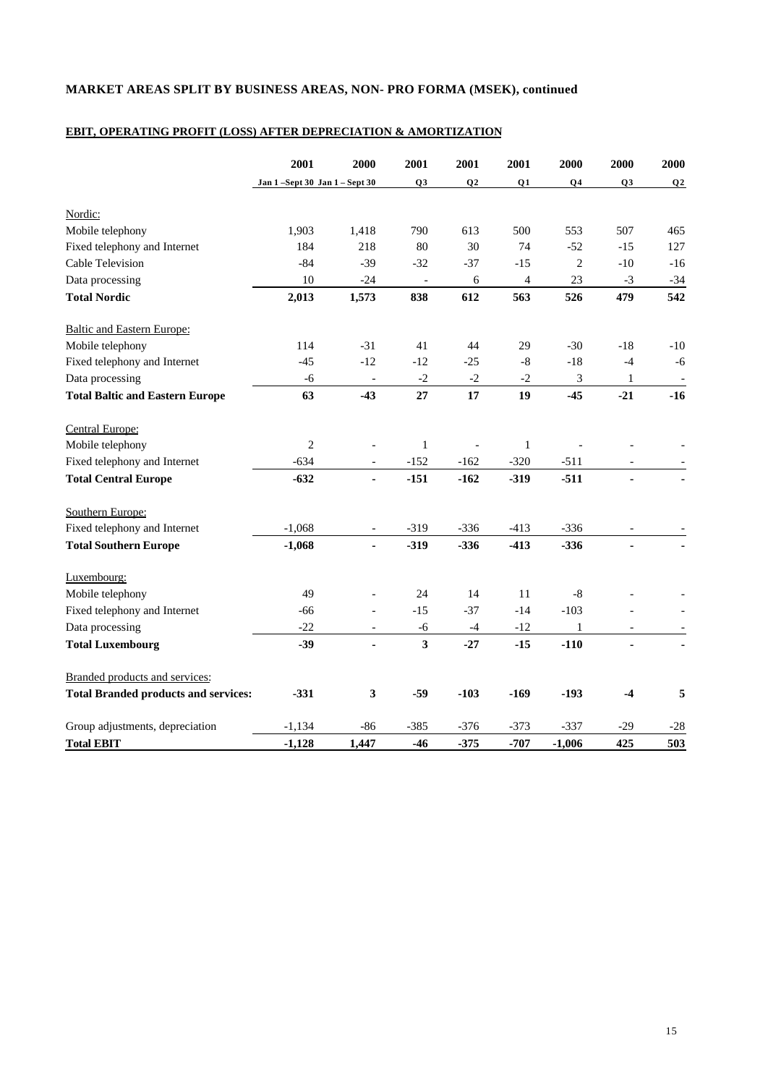# **MARKET AREAS SPLIT BY BUSINESS AREAS, NON- PRO FORMA (MSEK), continued**

# **EBIT, OPERATING PROFIT (LOSS) AFTER DEPRECIATION & AMORTIZATION**

|                                             | 2001                        | 2000                     | 2001                    | 2001           | 2001                     | 2000           | 2000                     | 2000           |
|---------------------------------------------|-----------------------------|--------------------------|-------------------------|----------------|--------------------------|----------------|--------------------------|----------------|
|                                             | Jan 1-Sept 30 Jan 1-Sept 30 |                          | Q <sub>3</sub>          | Q <sub>2</sub> | Q1                       | Q <sub>4</sub> | Q <sub>3</sub>           | Q <sub>2</sub> |
| Nordic:                                     |                             |                          |                         |                |                          |                |                          |                |
| Mobile telephony                            | 1,903                       | 1,418                    | 790                     | 613            | 500                      | 553            | 507                      | 465            |
| Fixed telephony and Internet                | 184                         | 218                      | 80                      | 30             | 74                       | $-52$          | $-15$                    | 127            |
| <b>Cable Television</b>                     | $-84$                       | $-39$                    | $-32$                   | $-37$          | $-15$                    | $\overline{c}$ | $-10$                    | $-16$          |
| Data processing                             | 10                          | $-24$                    |                         | 6              | $\overline{\mathcal{L}}$ | 23             | $-3$                     | $-34$          |
| <b>Total Nordic</b>                         | 2,013                       | 1,573                    | 838                     | 612            | 563                      | 526            | 479                      | 542            |
| <b>Baltic and Eastern Europe:</b>           |                             |                          |                         |                |                          |                |                          |                |
| Mobile telephony                            | 114                         | $-31$                    | 41                      | 44             | 29                       | $-30$          | $-18$                    | $-10$          |
| Fixed telephony and Internet                | $-45$                       | $-12$                    | $-12$                   | $-25$          | $-8$                     | $-18$          | $-4$                     | $-6$           |
| Data processing                             | -6                          | $\overline{\phantom{a}}$ | $-2$                    | $-2$           | $-2$                     | $\mathfrak{Z}$ | $\mathbf{1}$             |                |
| <b>Total Baltic and Eastern Europe</b>      | 63                          | $-43$                    | 27                      | 17             | 19                       | $-45$          | $-21$                    | $-16$          |
| Central Europe:                             |                             |                          |                         |                |                          |                |                          |                |
| Mobile telephony                            | $\overline{c}$              |                          | $\,1$                   |                | $\mathbf{1}$             |                |                          |                |
| Fixed telephony and Internet                | $-634$                      | $\overline{a}$           | $-152$                  | $-162$         | $-320$                   | $-511$         |                          |                |
| <b>Total Central Europe</b>                 | $-632$                      | ä,                       | $-151$                  | $-162$         | $-319$                   | $-511$         | ä,                       |                |
| Southern Europe:                            |                             |                          |                         |                |                          |                |                          |                |
| Fixed telephony and Internet                | $-1,068$                    |                          | $-319$                  | $-336$         | $-413$                   | $-336$         |                          |                |
| <b>Total Southern Europe</b>                | $-1,068$                    | ä,                       | $-319$                  | $-336$         | $-413$                   | $-336$         |                          |                |
| Luxembourg:                                 |                             |                          |                         |                |                          |                |                          |                |
| Mobile telephony                            | 49                          |                          | 24                      | 14             | 11                       | $-8$           |                          |                |
| Fixed telephony and Internet                | $-66$                       | $\overline{\phantom{0}}$ | $-15$                   | $-37$          | $-14$                    | $-103$         |                          |                |
| Data processing                             | $-22$                       | $\overline{\phantom{a}}$ | $-6$                    | $-4$           | $-12$                    | 1              | $\overline{\phantom{a}}$ |                |
| <b>Total Luxembourg</b>                     | $-39$                       | ä,                       | $\overline{\mathbf{3}}$ | $-27$          | $-15$                    | $-110$         | ä,                       |                |
| Branded products and services:              |                             |                          |                         |                |                          |                |                          |                |
| <b>Total Branded products and services:</b> | $-331$                      | $\mathbf{3}$             | $-59$                   | $-103$         | $-169$                   | $-193$         | $-4$                     | 5              |
| Group adjustments, depreciation             | $-1,134$                    | $-86$                    | $-385$                  | $-376$         | $-373$                   | $-337$         | $-29$                    | $-28$          |
| <b>Total EBIT</b>                           | $-1,128$                    | 1,447                    | $-46$                   | $-375$         | $-707$                   | $-1,006$       | 425                      | 503            |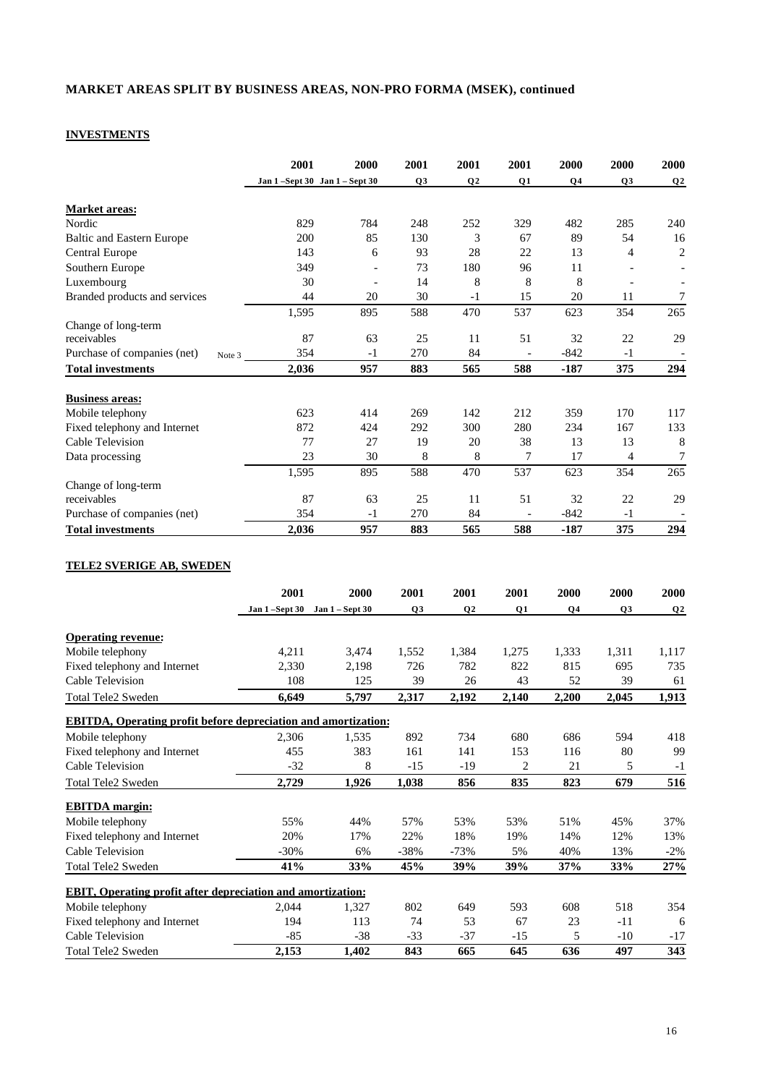## **MARKET AREAS SPLIT BY BUSINESS AREAS, NON-PRO FORMA (MSEK), continued**

# **INVESTMENTS**

**EBITDA margin:**

|                                                                        | 2001                          | 2000            | 2001           | 2001           | 2001                     | 2000   | 2000           | 2000                     |
|------------------------------------------------------------------------|-------------------------------|-----------------|----------------|----------------|--------------------------|--------|----------------|--------------------------|
|                                                                        | Jan 1-Sept 30 Jan 1 - Sept 30 |                 | Q3             | Q <sub>2</sub> | Q1                       | Q4     | Q3             | Q2                       |
| <b>Market areas:</b>                                                   |                               |                 |                |                |                          |        |                |                          |
| Nordic                                                                 | 829                           | 784             | 248            | 252            | 329                      | 482    | 285            | 240                      |
| <b>Baltic and Eastern Europe</b>                                       | 200                           | 85              | 130            | 3              | 67                       | 89     | 54             | 16                       |
| <b>Central Europe</b>                                                  | 143                           | 6               | 93             | 28             | 22                       | 13     | $\overline{4}$ | $\overline{c}$           |
| Southern Europe                                                        | 349                           | $\overline{a}$  | 73             | 180            | 96                       | 11     |                | $\overline{a}$           |
| Luxembourg                                                             | 30                            | $\overline{a}$  | 14             | 8              | 8                        | 8      |                |                          |
| Branded products and services                                          | 44                            | 20              | 30             | $-1$           | 15                       | 20     | 11             | 7                        |
|                                                                        | 1.595                         | 895             | 588            | 470            | 537                      | 623    | 354            | 265                      |
| Change of long-term                                                    |                               |                 |                |                |                          |        |                |                          |
| receivables                                                            | 87                            | 63              | 25             | 11             | 51                       | 32     | 22             | 29                       |
| Purchase of companies (net)                                            | 354<br>Note 3                 | $-1$            | 270            | 84             |                          | -842   | $-1$           |                          |
| <b>Total investments</b>                                               | 2,036                         | 957             | 883            | 565            | 588                      | $-187$ | 375            | 294                      |
|                                                                        |                               |                 |                |                |                          |        |                |                          |
| <b>Business areas:</b>                                                 |                               |                 |                |                |                          |        |                |                          |
| Mobile telephony                                                       | 623                           | 414             | 269            | 142            | 212                      | 359    | 170            | 117                      |
| Fixed telephony and Internet                                           | 872                           | 424             | 292            | 300            | 280                      | 234    | 167            | 133                      |
| Cable Television                                                       | 77                            | 27              | 19             | 20             | 38                       | 13     | 13             | 8                        |
| Data processing                                                        | 23                            | 30              | 8              | 8              | 7                        | 17     | $\overline{4}$ | 7                        |
|                                                                        | 1,595                         | 895             | 588            | 470            | 537                      | 623    | 354            | 265                      |
| Change of long-term                                                    |                               |                 |                |                |                          |        |                |                          |
| receivables                                                            | 87                            | 63              | 25             | 11             | 51                       | 32     | 22             | 29                       |
| Purchase of companies (net)                                            | 354                           | $-1$            | 270            | 84             | $\overline{\phantom{a}}$ | $-842$ | $-1$           | $\overline{\phantom{a}}$ |
| <b>Total investments</b>                                               | 2,036                         | 957             | 883            | 565            | 588                      | $-187$ | 375            | 294                      |
| TELE2 SVERIGE AB, SWEDEN                                               |                               |                 |                |                |                          |        |                |                          |
|                                                                        | 2001                          | 2000            | 2001           | 2001           | 2001                     | 2000   | 2000           | 2000                     |
|                                                                        | Jan 1-Sept 30                 | Jan 1 - Sept 30 | Q <sub>3</sub> | Q <sub>2</sub> | Q1                       | Q4     | Q <sub>3</sub> | Q <sub>2</sub>           |
|                                                                        |                               |                 |                |                |                          |        |                |                          |
| <b>Operating revenue:</b>                                              |                               |                 |                |                |                          |        |                |                          |
| Mobile telephony                                                       | 4,211                         | 3,474           | 1,552          | 1,384          | 1,275                    | 1,333  | 1,311          | 1,117                    |
| Fixed telephony and Internet                                           | 2,330                         | 2,198           | 726            | 782            | 822                      | 815    | 695            | 735                      |
| Cable Television                                                       | 108                           | 125             | 39             | 26             | 43                       | 52     | 39             | 61                       |
| Total Tele2 Sweden                                                     | 6,649                         | 5,797           | 2,317          | 2,192          | 2.140                    | 2,200  | 2.045          | 1,913                    |
|                                                                        |                               |                 |                |                |                          |        |                |                          |
| <b>EBITDA</b> , Operating profit before depreciation and amortization: |                               |                 |                |                |                          |        |                |                          |
| Mobile telephony                                                       | 2,306                         | 1,535           | 892            | 734            | 680                      | 686    | 594            | 418                      |
| Fixed telephony and Internet                                           | 455                           | 383             | 161            | 141            | 153                      | 116    | 80             | 99                       |
| Cable Television                                                       | $-32$                         | 8               | $-15$          | $-19$          | $\overline{c}$           | 21     | 5              | $-1$                     |
| Total Tele2 Sweden                                                     | 2,729                         | 1,926           | 1,038          | 856            | 835                      | 823    | 679            | 516                      |

| Mobile telephony                                                   | 55%     | 44%   | 57%    | 53%    | 53% | 51% | 45%   | 37%    |
|--------------------------------------------------------------------|---------|-------|--------|--------|-----|-----|-------|--------|
| Fixed telephony and Internet                                       | 20%     | 17%   | 22%    | 18%    | 19% | 14% | 12%   | 13%    |
| Cable Television                                                   | $-30\%$ | 6%    | $-38%$ | $-73%$ | 5%  | 40% | 13%   | $-2\%$ |
| Total Tele2 Sweden                                                 | 41%     | 33%   | 45%    | 39%    | 39% | 37% | 33%   | 27%    |
|                                                                    |         |       |        |        |     |     |       |        |
| <b>EBIT, Operating profit after depreciation and amortization:</b> |         |       |        |        |     |     |       |        |
| Mobile telephony                                                   | 2.044   | 1.327 | 802    | 649    | 593 | 608 | 518   | 354    |
| Fixed telephony and Internet                                       | 194     | 113   | 74     | 53     | 67  | 23  | -11   | 6      |
| Cable Television                                                   | $-85$   | $-38$ | $-33$  | $-37$  | -15 |     | $-10$ | $-17$  |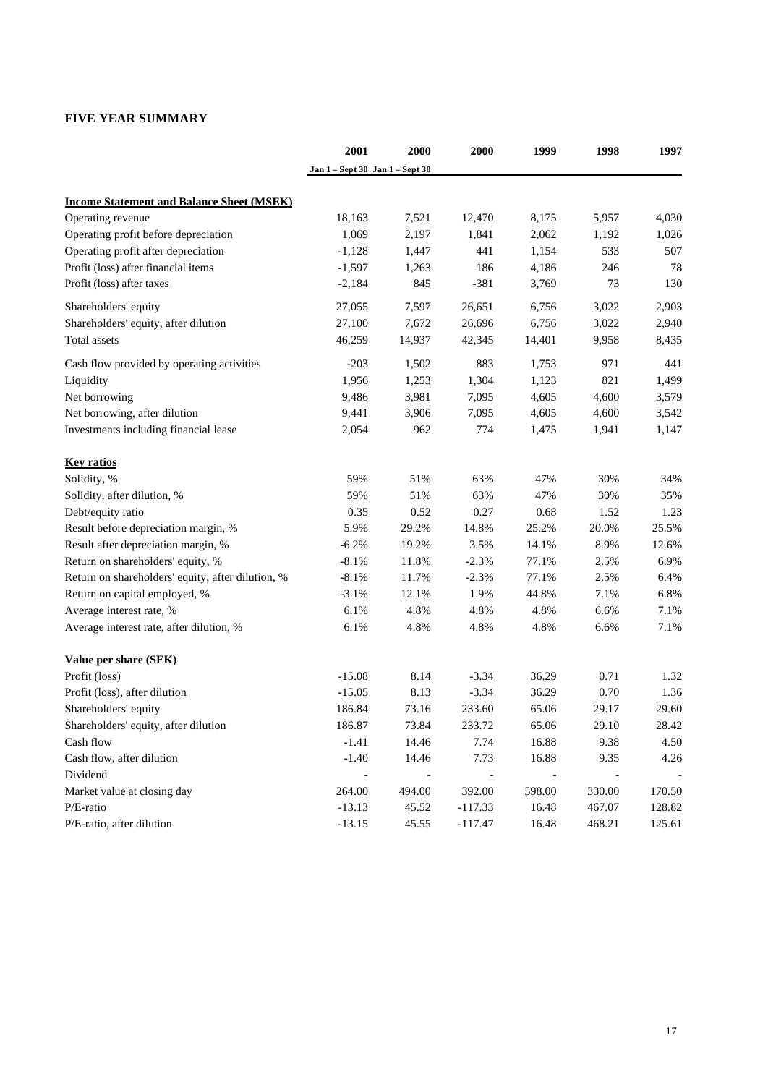# **FIVE YEAR SUMMARY**

|                                                   | 2001                            | 2000   | 2000      | 1999   | 1998   | 1997   |
|---------------------------------------------------|---------------------------------|--------|-----------|--------|--------|--------|
|                                                   | Jan 1 – Sept 30 Jan 1 – Sept 30 |        |           |        |        |        |
| <b>Income Statement and Balance Sheet (MSEK)</b>  |                                 |        |           |        |        |        |
| Operating revenue                                 | 18,163                          | 7,521  | 12,470    | 8,175  | 5,957  | 4,030  |
| Operating profit before depreciation              | 1,069                           | 2,197  | 1,841     | 2,062  | 1,192  | 1,026  |
| Operating profit after depreciation               | $-1,128$                        | 1,447  | 441       | 1,154  | 533    | 507    |
| Profit (loss) after financial items               | $-1,597$                        | 1,263  | 186       | 4,186  | 246    | 78     |
| Profit (loss) after taxes                         | $-2,184$                        | 845    | $-381$    | 3,769  | 73     | 130    |
| Shareholders' equity                              | 27,055                          | 7,597  | 26,651    | 6,756  | 3,022  | 2,903  |
| Shareholders' equity, after dilution              | 27,100                          | 7,672  | 26,696    | 6,756  | 3,022  | 2,940  |
| Total assets                                      | 46,259                          | 14,937 | 42,345    | 14,401 | 9,958  | 8,435  |
| Cash flow provided by operating activities        | $-203$                          | 1,502  | 883       | 1,753  | 971    | 441    |
| Liquidity                                         | 1,956                           | 1,253  | 1,304     | 1,123  | 821    | 1,499  |
| Net borrowing                                     | 9,486                           | 3,981  | 7,095     | 4,605  | 4,600  | 3,579  |
| Net borrowing, after dilution                     | 9,441                           | 3,906  | 7,095     | 4,605  | 4,600  | 3,542  |
| Investments including financial lease             | 2,054                           | 962    | 774       | 1,475  | 1,941  | 1,147  |
| <b>Key ratios</b>                                 |                                 |        |           |        |        |        |
| Solidity, %                                       | 59%                             | 51%    | 63%       | 47%    | 30%    | 34%    |
| Solidity, after dilution, %                       | 59%                             | 51%    | 63%       | 47%    | 30%    | 35%    |
| Debt/equity ratio                                 | 0.35                            | 0.52   | 0.27      | 0.68   | 1.52   | 1.23   |
| Result before depreciation margin, %              | 5.9%                            | 29.2%  | 14.8%     | 25.2%  | 20.0%  | 25.5%  |
| Result after depreciation margin, %               | $-6.2%$                         | 19.2%  | 3.5%      | 14.1%  | 8.9%   | 12.6%  |
| Return on shareholders' equity, %                 | $-8.1%$                         | 11.8%  | $-2.3%$   | 77.1%  | 2.5%   | 6.9%   |
| Return on shareholders' equity, after dilution, % | $-8.1%$                         | 11.7%  | $-2.3%$   | 77.1%  | 2.5%   | 6.4%   |
| Return on capital employed, %                     | $-3.1%$                         | 12.1%  | 1.9%      | 44.8%  | 7.1%   | 6.8%   |
| Average interest rate, %                          | 6.1%                            | 4.8%   | 4.8%      | 4.8%   | 6.6%   | 7.1%   |
| Average interest rate, after dilution, %          | 6.1%                            | 4.8%   | 4.8%      | 4.8%   | 6.6%   | 7.1%   |
| Value per share (SEK)                             |                                 |        |           |        |        |        |
| Profit (loss)                                     | $-15.08$                        | 8.14   | $-3.34$   | 36.29  | 0.71   | 1.32   |
| Profit (loss), after dilution                     | $-15.05$                        | 8.13   | $-3.34$   | 36.29  | 0.70   | 1.36   |
| Shareholders' equity                              | 186.84                          | 73.16  | 233.60    | 65.06  | 29.17  | 29.60  |
| Shareholders' equity, after dilution              | 186.87                          | 73.84  | 233.72    | 65.06  | 29.10  | 28.42  |
| Cash flow                                         | $-1.41$                         | 14.46  | 7.74      | 16.88  | 9.38   | 4.50   |
| Cash flow, after dilution                         | $-1.40$                         | 14.46  | 7.73      | 16.88  | 9.35   | 4.26   |
| Dividend                                          |                                 |        |           |        |        |        |
| Market value at closing day                       | 264.00                          | 494.00 | 392.00    | 598.00 | 330.00 | 170.50 |
| P/E-ratio                                         | $-13.13$                        | 45.52  | $-117.33$ | 16.48  | 467.07 | 128.82 |
| P/E-ratio, after dilution                         | $-13.15$                        | 45.55  | $-117.47$ | 16.48  | 468.21 | 125.61 |